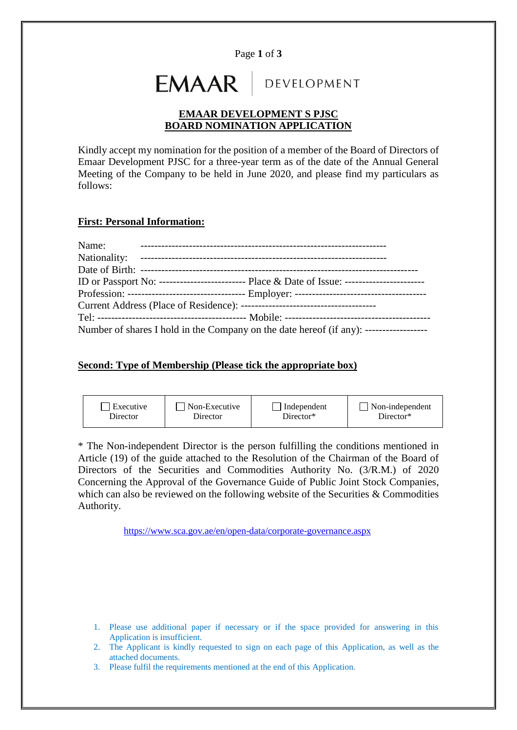Page **1** of **3**

# **EMAAR** DEVELOPMENT

## **EMAAR DEVELOPMENT S PJSC BOARD NOMINATION APPLICATION**

Kindly accept my nomination for the position of a member of the Board of Directors of Emaar Development PJSC for a three-year term as of the date of the Annual General Meeting of the Company to be held in June 2020, and please find my particulars as follows:

#### **First: Personal Information:**

| Name: |                                                                                               |
|-------|-----------------------------------------------------------------------------------------------|
|       |                                                                                               |
|       |                                                                                               |
|       | ID or Passport No: -------------------------- Place & Date of Issue: ------------------------ |
|       |                                                                                               |
|       |                                                                                               |
|       |                                                                                               |
|       | Number of shares I hold in the Company on the date hereof (if any): -------------------       |

### **Second: Type of Membership (Please tick the appropriate box)**



\* The Non-independent Director is the person fulfilling the conditions mentioned in Article (19) of the guide attached to the Resolution of the Chairman of the Board of Directors of the Securities and Commodities Authority No. (3/R.M.) of 2020 Concerning the Approval of the Governance Guide of Public Joint Stock Companies, which can also be reviewed on the following website of the Securities & Commodities Authority.

<https://www.sca.gov.ae/en/open-data/corporate-governance.aspx>

- 1. Please use additional paper if necessary or if the space provided for answering in this Application is insufficient.
- 2. The Applicant is kindly requested to sign on each page of this Application, as well as the attached documents.
- 3. Please fulfil the requirements mentioned at the end of this Application.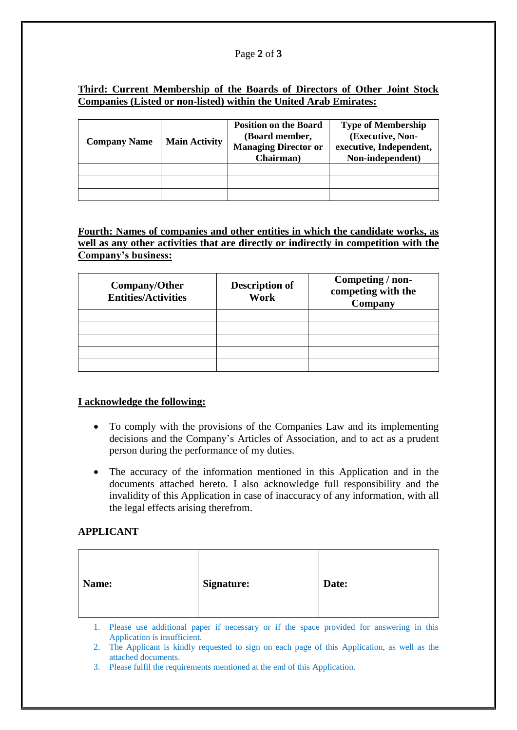#### Page **2** of **3**

## **Third: Current Membership of the Boards of Directors of Other Joint Stock Companies (Listed or non-listed) within the United Arab Emirates:**

| <b>Company Name</b> | <b>Main Activity</b> | <b>Position on the Board</b><br>(Board member,<br><b>Managing Director or</b><br>Chairman) | <b>Type of Membership</b><br>(Executive, Non-<br>executive, Independent,<br>Non-independent) |
|---------------------|----------------------|--------------------------------------------------------------------------------------------|----------------------------------------------------------------------------------------------|
|                     |                      |                                                                                            |                                                                                              |
|                     |                      |                                                                                            |                                                                                              |
|                     |                      |                                                                                            |                                                                                              |

**Fourth: Names of companies and other entities in which the candidate works, as well as any other activities that are directly or indirectly in competition with the Company's business:**

| Company/Other<br><b>Entities/Activities</b> | <b>Description of</b><br>Work | Competing / non-<br>competing with the<br>Company |
|---------------------------------------------|-------------------------------|---------------------------------------------------|
|                                             |                               |                                                   |
|                                             |                               |                                                   |
|                                             |                               |                                                   |
|                                             |                               |                                                   |
|                                             |                               |                                                   |

## **I acknowledge the following:**

- To comply with the provisions of the Companies Law and its implementing decisions and the Company's Articles of Association, and to act as a prudent person during the performance of my duties.
- The accuracy of the information mentioned in this Application and in the documents attached hereto. I also acknowledge full responsibility and the invalidity of this Application in case of inaccuracy of any information, with all the legal effects arising therefrom.

## **APPLICANT**

1. Please use additional paper if necessary or if the space provided for answering in this Application is insufficient.

2. The Applicant is kindly requested to sign on each page of this Application, as well as the attached documents.

3. Please fulfil the requirements mentioned at the end of this Application.